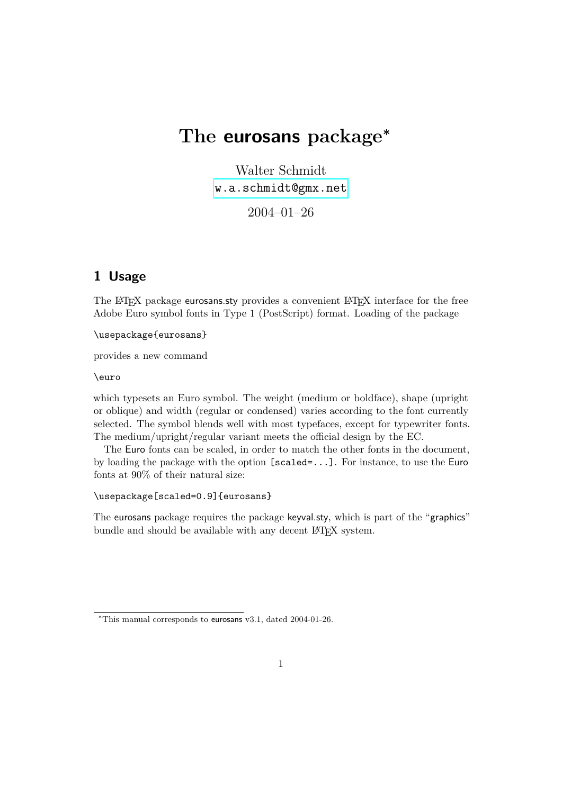# **The eurosans package<sup>∗</sup>**

Walter Schmidt [w.a.schmidt@gmx.net](mailto:w.a.schmidt@gmx.net)

2004–01–26

# **1 Usage**

The LAT<sub>EX</sub> package eurosans.sty provides a convenient LAT<sub>EX</sub> interface for the free Adobe Euro symbol fonts in Type 1 (PostScript) format. Loading of the package

\usepackage{eurosans}

provides a new command

\euro

which typesets an Euro symbol. The weight (medium or boldface), shape (upright or oblique) and width (regular or condensed) varies according to the font currently selected. The symbol blends well with most typefaces, except for typewriter fonts. The medium/upright/regular variant meets the official design by the EC.

The Euro fonts can be scaled, in order to match the other fonts in the document, by loading the package with the option [scaled=...]. For instance, to use the Euro fonts at 90% of their natural size:

\usepackage[scaled=0.9]{eurosans}

The eurosans package requires the package keyval.sty, which is part of the "graphics" bundle and should be available with any decent LAT<sub>E</sub>X system.

<sup>∗</sup>This manual corresponds to eurosans v3.1, dated 2004-01-26.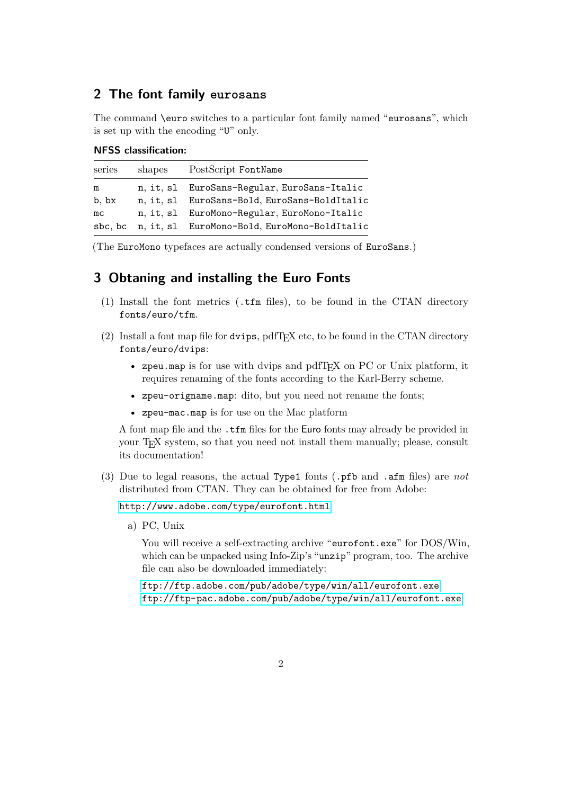## **2 The font family eurosans**

The command \euro switches to a particular font family named "eurosans", which is set up with the encoding "U" only.

| <b>NFSS</b> classification: |  |
|-----------------------------|--|
|                             |  |

| series  | shapes | PostScript FontName                          |
|---------|--------|----------------------------------------------|
| m       |        | n, it, sl EuroSans-Regular, EuroSans-Italic  |
| b, bx   |        | n, it, sl EuroSans-Bold, EuroSans-BoldItalic |
| mc      |        | n, it, sl EuroMono-Regular, EuroMono-Italic  |
| sbc, bc |        | n, it, sl EuroMono-Bold, EuroMono-BoldItalic |

(The EuroMono typefaces are actually condensed versions of EuroSans.)

### **3 Obtaning and installing the Euro Fonts**

- (1) Install the font metrics (.tfm files), to be found in the CTAN directory fonts/euro/tfm.
- $(2)$  Install a font map file for dvips, pdfT<sub>E</sub>X etc, to be found in the CTAN directory fonts/euro/dvips:
	- zpeu.map is for use with dvips and pdfTEX on PC or Unix platform, it requires renaming of the fonts according to the Karl-Berry scheme.
	- zpeu-origname.map: dito, but you need not rename the fonts;
	- zpeu-mac.map is for use on the Mac platform

A font map file and the .tfm files for the Euro fonts may already be provided in your TEX system, so that you need not install them manually; please, consult its documentation!

(3) Due to legal reasons, the actual Type1 fonts (.pfb and .afm files) are *not* distributed from CTAN. They can be obtained for free from Adobe:

<http://www.adobe.com/type/eurofont.html>

a) PC, Unix

You will receive a self-extracting archive "eurofont.exe" for  $DOS/Win$ , which can be unpacked using Info-Zip's "unzip" program, too. The archive file can also be downloaded immediately:

<ftp://ftp.adobe.com/pub/adobe/type/win/all/eurofont.exe> <ftp://ftp-pac.adobe.com/pub/adobe/type/win/all/eurofont.exe>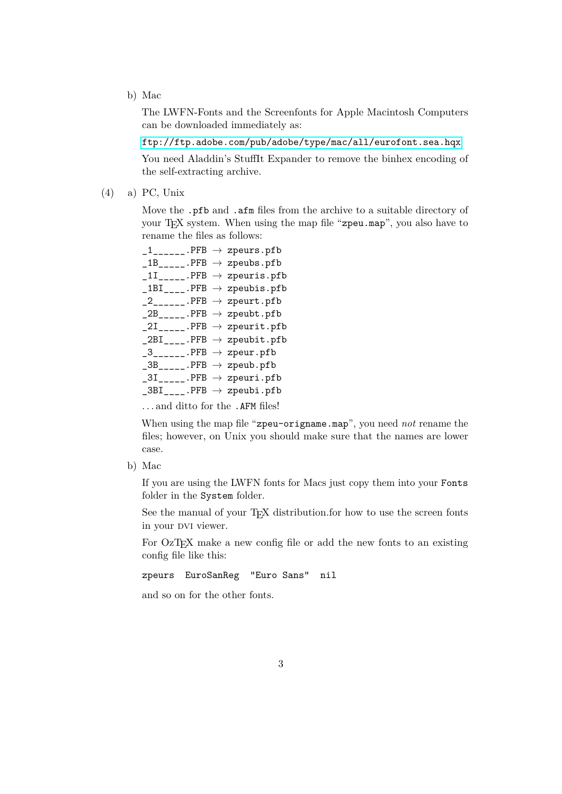b) Mac

The LWFN-Fonts and the Screenfonts for Apple Macintosh Computers can be downloaded immediately as:

<ftp://ftp.adobe.com/pub/adobe/type/mac/all/eurofont.sea.hqx>

You need Aladdin's StuffIt Expander to remove the binhex encoding of the self-extracting archive.

(4) a) PC, Unix

Move the .pfb and .afm files from the archive to a suitable directory of your T<sub>E</sub>X system. When using the map file "zpeu.map", you also have to rename the files as follows:

```
1<sub>------</sub>.PFB \rightarrow zpeurs.pfb
\_1B<sub>_____</sub>.PFB \rightarrow zpeubs.pfb
11<sub>-----</sub>.PFB \rightarrow zpeuris.pfb
_1BIBI<sub>----</sub>.PFB \rightarrow zpeubis.pfb
2<sub>------</sub>.PFB \rightarrow zpeurt.pfb
2B<sub>_____</sub>.PFB \rightarrow zpeubt.pfb
2I_{\text{max}}. PFB \rightarrow zpeurit.pfb
2BI<sub>____</sub>.PFB \rightarrow zpeubit.pfb
-3<sub>------</sub>.PFB \rightarrow zpeur.pfb
\text{\_3B}_{\text{\_---}}.PFB \rightarrow zpeub.pfb
\_3I<sub>_____</sub>.PFB \rightarrow zpeuri.pfb
\text{\_3BI}\text{\_}.PFB \rightarrow zpeubi.pfb
. . . and ditto for the .AFM files!
```
When using the map file "zpeu-origname.map", you need *not* rename the files; however, on Unix you should make sure that the names are lower case.

b) Mac

If you are using the LWFN fonts for Macs just copy them into your Fonts folder in the System folder.

See the manual of your T<sub>EX</sub> distribution.for how to use the screen fonts in your DVI viewer.

For OzT<sub>F</sub>X make a new config file or add the new fonts to an existing config file like this:

zpeurs EuroSanReg "Euro Sans" nil

and so on for the other fonts.